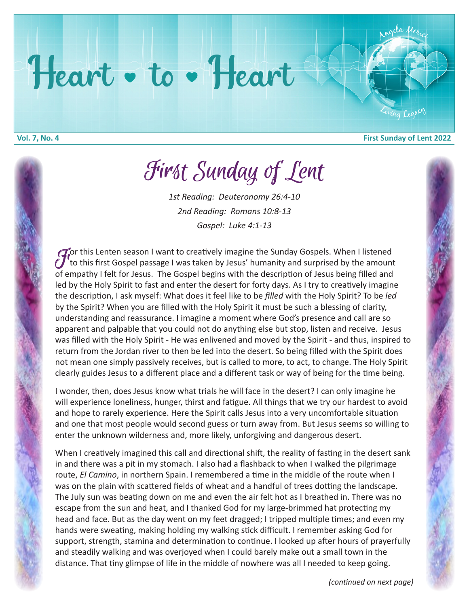## Heart • to • Heart

**Vol. 7, No. 4 First Sunday of Lent 2022**

ing Legac

<sup>A</sup>ng<sup>e</sup>l<sup>a</sup> <sup>M</sup><sup>e</sup>ric<sup>i</sup>

First Sunday of Lent First Sunday of Lent

*1st Reading: Deuteronomy 26:4-10 2nd Reading: Romans 10:8-13 Gospel: Luke 4:1-13*

For this Lenten season I want to creatively imagine the Sunday Gospels. When I listened<br>The this first Gospel passage I was taken by Jesus' humanity and surprised by the amount<br>of empathy I felt for Jesus. The Gospel begin to this first Gospel passage I was taken by Jesus' humanity and surprised by the amount of empathy I felt for Jesus. The Gospel begins with the description of Jesus being filled and led by the Holy Spirit to fast and enter the desert for forty days. As I try to creatively imagine the description, I ask myself: What does it feel like to be *filled* with the Holy Spirit? To be *led* by the Spirit? When you are filled with the Holy Spirit it must be such a blessing of clarity, understanding and reassurance. I imagine a moment where God's presence and call are so apparent and palpable that you could not do anything else but stop, listen and receive. Jesus was filled with the Holy Spirit - He was enlivened and moved by the Spirit - and thus, inspired to return from the Jordan river to then be led into the desert. So being filled with the Spirit does not mean one simply passively receives, but is called to more, to act, to change. The Holy Spirit clearly guides Jesus to a different place and a different task or way of being for the time being.

I wonder, then, does Jesus know what trials he will face in the desert? I can only imagine he will experience loneliness, hunger, thirst and fatigue. All things that we try our hardest to avoid and hope to rarely experience. Here the Spirit calls Jesus into a very uncomfortable situation and one that most people would second guess or turn away from. But Jesus seems so willing to enter the unknown wilderness and, more likely, unforgiving and dangerous desert.

When I creatively imagined this call and directional shift, the reality of fasting in the desert sank in and there was a pit in my stomach. I also had a flashback to when I walked the pilgrimage route, *El Camino*, in northern Spain. I remembered a time in the middle of the route when I was on the plain with scattered fields of wheat and a handful of trees dotting the landscape. The July sun was beating down on me and even the air felt hot as I breathed in. There was no escape from the sun and heat, and I thanked God for my large-brimmed hat protecting my head and face. But as the day went on my feet dragged; I tripped multiple times; and even my hands were sweating, making holding my walking stick difficult. I remember asking God for support, strength, stamina and determination to continue. I looked up after hours of prayerfully and steadily walking and was overjoyed when I could barely make out a small town in the distance. That tiny glimpse of life in the middle of nowhere was all I needed to keep going.

*(continued on next page)*